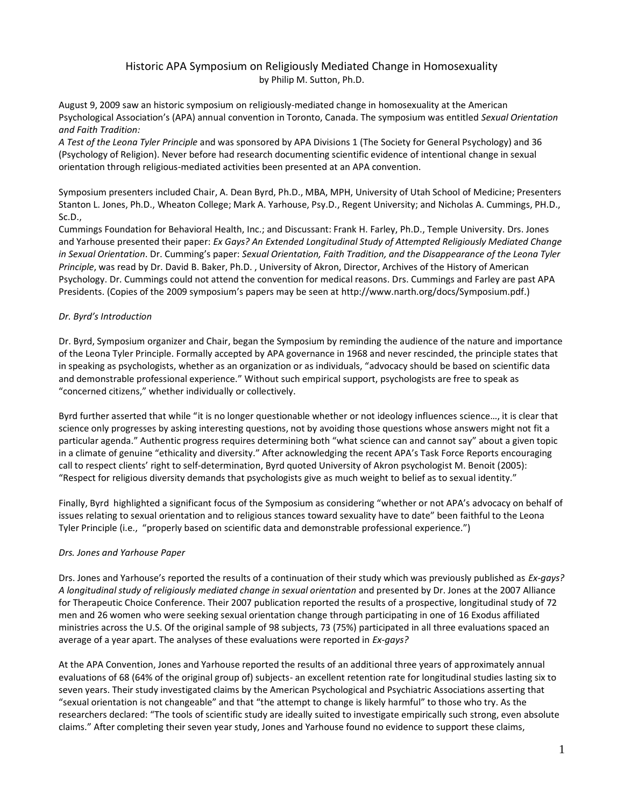# Historic APA Symposium on Religiously Mediated Change in Homosexuality by Philip M. Sutton, Ph.D.

August 9, 2009 saw an historic symposium on religiously-mediated change in homosexuality at the American Psychological Association's (APA) annual convention in Toronto, Canada. The symposium was entitled *Sexual Orientation and Faith Tradition:*

*A Test of the Leona Tyler Principle* and was sponsored by APA Divisions 1 (The Society for General Psychology) and 36 (Psychology of Religion). Never before had research documenting scientific evidence of intentional change in sexual orientation through religious-mediated activities been presented at an APA convention.

Symposium presenters included Chair, A. Dean Byrd, Ph.D., MBA, MPH, University of Utah School of Medicine; Presenters Stanton L. Jones, Ph.D., Wheaton College; Mark A. Yarhouse, Psy.D., Regent University; and Nicholas A. Cummings, PH.D., Sc.D.,

Cummings Foundation for Behavioral Health, Inc.; and Discussant: Frank H. Farley, Ph.D., Temple University. Drs. Jones and Yarhouse presented their paper: *Ex Gays? An Extended Longitudinal Study of Attempted Religiously Mediated Change in Sexual Orientation*. Dr. Cumming's paper: *Sexual Orientation, Faith Tradition, and the Disappearance of the Leona Tyler Principle*, was read by Dr. David B. Baker, Ph.D. , University of Akron, Director, Archives of the History of American Psychology. Dr. Cummings could not attend the convention for medical reasons. Drs. Cummings and Farley are past APA Presidents. (Copies of the 2009 symposium's papers may be seen at http://www.narth.org/docs/Symposium.pdf.)

# *Dr. Byrd's Introduction*

Dr. Byrd, Symposium organizer and Chair, began the Symposium by reminding the audience of the nature and importance of the Leona Tyler Principle. Formally accepted by APA governance in 1968 and never rescinded, the principle states that in speaking as psychologists, whether as an organization or as individuals, "advocacy should be based on scientific data and demonstrable professional experience." Without such empirical support, psychologists are free to speak as "concerned citizens," whether individually or collectively.

Byrd further asserted that while "it is no longer questionable whether or not ideology influences science…, it is clear that science only progresses by asking interesting questions, not by avoiding those questions whose answers might not fit a particular agenda." Authentic progress requires determining both "what science can and cannot say" about a given topic in a climate of genuine "ethicality and diversity." After acknowledging the recent APA's Task Force Reports encouraging call to respect clients' right to self-determination, Byrd quoted University of Akron psychologist M. Benoit (2005): "Respect for religious diversity demands that psychologists give as much weight to belief as to sexual identity."

Finally, Byrd highlighted a significant focus of the Symposium as considering "whether or not APA's advocacy on behalf of issues relating to sexual orientation and to religious stances toward sexuality have to date" been faithful to the Leona Tyler Principle (i.e., "properly based on scientific data and demonstrable professional experience.")

## *Drs. Jones and Yarhouse Paper*

Drs. Jones and Yarhouse's reported the results of a continuation of their study which was previously published as *Ex-gays? A longitudinal study of religiously mediated change in sexual orientation* and presented by Dr. Jones at the 2007 Alliance for Therapeutic Choice Conference. Their 2007 publication reported the results of a prospective, longitudinal study of 72 men and 26 women who were seeking sexual orientation change through participating in one of 16 Exodus affiliated ministries across the U.S. Of the original sample of 98 subjects, 73 (75%) participated in all three evaluations spaced an average of a year apart. The analyses of these evaluations were reported in *Ex-gays?* 

At the APA Convention, Jones and Yarhouse reported the results of an additional three years of approximately annual evaluations of 68 (64% of the original group of) subjects- an excellent retention rate for longitudinal studies lasting six to seven years. Their study investigated claims by the American Psychological and Psychiatric Associations asserting that "sexual orientation is not changeable" and that "the attempt to change is likely harmful" to those who try. As the researchers declared: "The tools of scientific study are ideally suited to investigate empirically such strong, even absolute claims." After completing their seven year study, Jones and Yarhouse found no evidence to support these claims,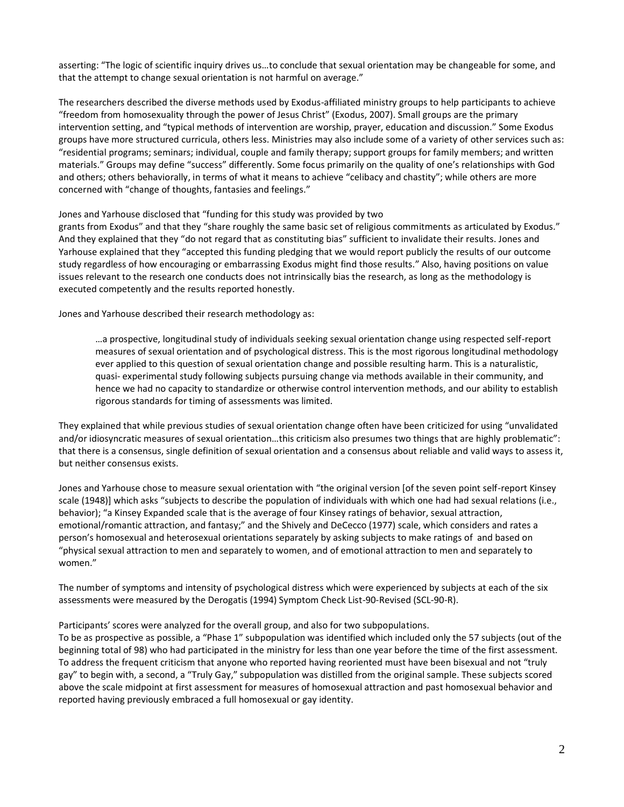asserting: "The logic of scientific inquiry drives us…to conclude that sexual orientation may be changeable for some, and that the attempt to change sexual orientation is not harmful on average."

The researchers described the diverse methods used by Exodus‐affiliated ministry groups to help participants to achieve "freedom from homosexuality through the power of Jesus Christ" (Exodus, 2007). Small groups are the primary intervention setting, and "typical methods of intervention are worship, prayer, education and discussion." Some Exodus groups have more structured curricula, others less. Ministries may also include some of a variety of other services such as: "residential programs; seminars; individual, couple and family therapy; support groups for family members; and written materials." Groups may define "success" differently. Some focus primarily on the quality of one's relationships with God and others; others behaviorally, in terms of what it means to achieve "celibacy and chastity"; while others are more concerned with "change of thoughts, fantasies and feelings."

#### Jones and Yarhouse disclosed that "funding for this study was provided by two

grants from Exodus" and that they "share roughly the same basic set of religious commitments as articulated by Exodus." And they explained that they "do not regard that as constituting bias" sufficient to invalidate their results. Jones and Yarhouse explained that they "accepted this funding pledging that we would report publicly the results of our outcome study regardless of how encouraging or embarrassing Exodus might find those results." Also, having positions on value issues relevant to the research one conducts does not intrinsically bias the research, as long as the methodology is executed competently and the results reported honestly.

Jones and Yarhouse described their research methodology as:

…a prospective, longitudinal study of individuals seeking sexual orientation change using respected self‐report measures of sexual orientation and of psychological distress. This is the most rigorous longitudinal methodology ever applied to this question of sexual orientation change and possible resulting harm. This is a naturalistic, quasi‐ experimental study following subjects pursuing change via methods available in their community, and hence we had no capacity to standardize or otherwise control intervention methods, and our ability to establish rigorous standards for timing of assessments was limited.

They explained that while previous studies of sexual orientation change often have been criticized for using "unvalidated and/or idiosyncratic measures of sexual orientation…this criticism also presumes two things that are highly problematic": that there is a consensus, single definition of sexual orientation and a consensus about reliable and valid ways to assess it, but neither consensus exists.

Jones and Yarhouse chose to measure sexual orientation with "the original version [of the seven point self‐report Kinsey scale (1948)] which asks "subjects to describe the population of individuals with which one had had sexual relations (i.e., behavior); "a Kinsey Expanded scale that is the average of four Kinsey ratings of behavior, sexual attraction, emotional/romantic attraction, and fantasy;" and the Shively and DeCecco (1977) scale, which considers and rates a person's homosexual and heterosexual orientations separately by asking subjects to make ratings of and based on "physical sexual attraction to men and separately to women, and of emotional attraction to men and separately to women."

The number of symptoms and intensity of psychological distress which were experienced by subjects at each of the six assessments were measured by the Derogatis (1994) Symptom Check List‐90‐Revised (SCL‐90‐R).

## Participants' scores were analyzed for the overall group, and also for two subpopulations.

To be as prospective as possible, a "Phase 1" subpopulation was identified which included only the 57 subjects (out of the beginning total of 98) who had participated in the ministry for less than one year before the time of the first assessment. To address the frequent criticism that anyone who reported having reoriented must have been bisexual and not "truly gay" to begin with, a second, a "Truly Gay," subpopulation was distilled from the original sample. These subjects scored above the scale midpoint at first assessment for measures of homosexual attraction and past homosexual behavior and reported having previously embraced a full homosexual or gay identity.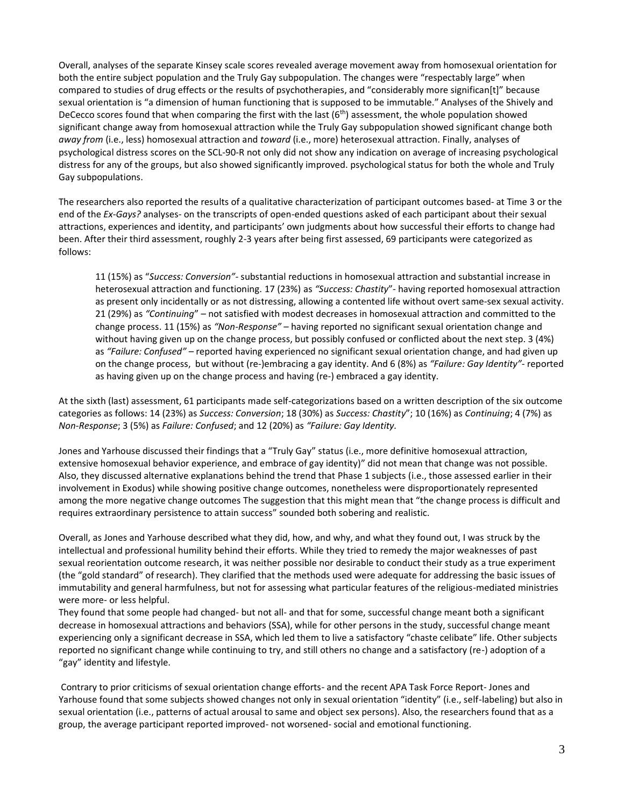Overall, analyses of the separate Kinsey scale scores revealed average movement away from homosexual orientation for both the entire subject population and the Truly Gay subpopulation. The changes were "respectably large" when compared to studies of drug effects or the results of psychotherapies, and "considerably more significan[t]" because sexual orientation is "a dimension of human functioning that is supposed to be immutable." Analyses of the Shively and DeCecco scores found that when comparing the first with the last (6<sup>th</sup>) assessment, the whole population showed significant change away from homosexual attraction while the Truly Gay subpopulation showed significant change both *away from* (i.e., less) homosexual attraction and *toward* (i.e., more) heterosexual attraction. Finally, analyses of psychological distress scores on the SCL‐90‐R not only did not show any indication on average of increasing psychological distress for any of the groups, but also showed significantly improved. psychological status for both the whole and Truly Gay subpopulations.

The researchers also reported the results of a qualitative characterization of participant outcomes based- at Time 3 or the end of the *Ex-Gays?* analyses- on the transcripts of open-ended questions asked of each participant about their sexual attractions, experiences and identity, and participants' own judgments about how successful their efforts to change had been. After their third assessment, roughly 2-3 years after being first assessed, 69 participants were categorized as follows:

11 (15%) as "*Success: Conversion"-* substantial reductions in homosexual attraction and substantial increase in heterosexual attraction and functioning. 17 (23%) as *"Success: Chastity*"- having reported homosexual attraction as present only incidentally or as not distressing, allowing a contented life without overt same-sex sexual activity. 21 (29%) as *"Continuing*" – not satisfied with modest decreases in homosexual attraction and committed to the change process. 11 (15%) as *"Non‐Response"* – having reported no significant sexual orientation change and without having given up on the change process, but possibly confused or conflicted about the next step. 3 (4%) as *"Failure: Confused"* – reported having experienced no significant sexual orientation change, and had given up on the change process, but without (re-)embracing a gay identity. And 6 (8%) as *"Failure: Gay Identity"*- reported as having given up on the change process and having (re-) embraced a gay identity.

At the sixth (last) assessment, 61 participants made self-categorizations based on a written description of the six outcome categories as follows: 14 (23%) as *Success: Conversion*; 18 (30%) as *Success: Chastity*"; 10 (16%) as *Continuing*; 4 (7%) as *Non‐Response*; 3 (5%) as *Failure: Confused*; and 12 (20%) as *"Failure: Gay Identity.*

Jones and Yarhouse discussed their findings that a "Truly Gay" status (i.e., more definitive homosexual attraction, extensive homosexual behavior experience, and embrace of gay identity)" did not mean that change was not possible. Also, they discussed alternative explanations behind the trend that Phase 1 subjects (i.e., those assessed earlier in their involvement in Exodus) while showing positive change outcomes, nonetheless were disproportionately represented among the more negative change outcomes The suggestion that this might mean that "the change process is difficult and requires extraordinary persistence to attain success" sounded both sobering and realistic.

Overall, as Jones and Yarhouse described what they did, how, and why, and what they found out, I was struck by the intellectual and professional humility behind their efforts. While they tried to remedy the major weaknesses of past sexual reorientation outcome research, it was neither possible nor desirable to conduct their study as a true experiment (the "gold standard" of research). They clarified that the methods used were adequate for addressing the basic issues of immutability and general harmfulness, but not for assessing what particular features of the religious-mediated ministries were more- or less helpful.

They found that some people had changed- but not all- and that for some, successful change meant both a significant decrease in homosexual attractions and behaviors (SSA), while for other persons in the study, successful change meant experiencing only a significant decrease in SSA, which led them to live a satisfactory "chaste celibate" life. Other subjects reported no significant change while continuing to try, and still others no change and a satisfactory (re-) adoption of a "gay" identity and lifestyle.

Contrary to prior criticisms of sexual orientation change efforts- and the recent APA Task Force Report- Jones and Yarhouse found that some subjects showed changes not only in sexual orientation "identity" (i.e., self-labeling) but also in sexual orientation (i.e., patterns of actual arousal to same and object sex persons). Also, the researchers found that as a group, the average participant reported improved- not worsened- social and emotional functioning.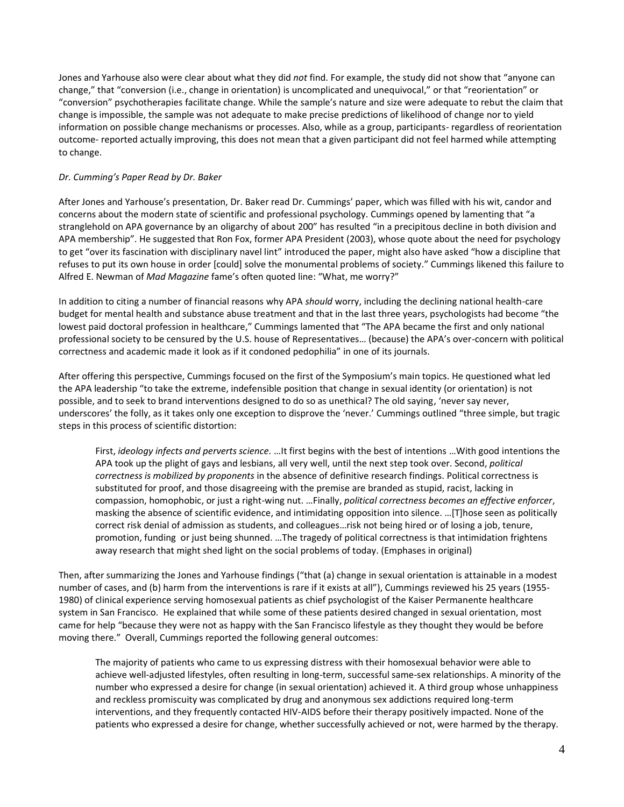Jones and Yarhouse also were clear about what they did *not* find. For example, the study did not show that "anyone can change," that "conversion (i.e., change in orientation) is uncomplicated and unequivocal," or that "reorientation" or "conversion" psychotherapies facilitate change. While the sample's nature and size were adequate to rebut the claim that change is impossible, the sample was not adequate to make precise predictions of likelihood of change nor to yield information on possible change mechanisms or processes. Also, while as a group, participants- regardless of reorientation outcome- reported actually improving, this does not mean that a given participant did not feel harmed while attempting to change.

#### *Dr. Cumming's Paper Read by Dr. Baker*

After Jones and Yarhouse's presentation, Dr. Baker read Dr. Cummings' paper, which was filled with his wit, candor and concerns about the modern state of scientific and professional psychology. Cummings opened by lamenting that "a stranglehold on APA governance by an oligarchy of about 200" has resulted "in a precipitous decline in both division and APA membership". He suggested that Ron Fox, former APA President (2003), whose quote about the need for psychology to get "over its fascination with disciplinary navel lint" introduced the paper, might also have asked "how a discipline that refuses to put its own house in order [could] solve the monumental problems of society." Cummings likened this failure to Alfred E. Newman of *Mad Magazine* fame's often quoted line: "What, me worry?"

In addition to citing a number of financial reasons why APA *should* worry, including the declining national health-care budget for mental health and substance abuse treatment and that in the last three years, psychologists had become "the lowest paid doctoral profession in healthcare," Cummings lamented that "The APA became the first and only national professional society to be censured by the U.S. house of Representatives… (because) the APA's over-concern with political correctness and academic made it look as if it condoned pedophilia" in one of its journals.

After offering this perspective, Cummings focused on the first of the Symposium's main topics. He questioned what led the APA leadership "to take the extreme, indefensible position that change in sexual identity (or orientation) is not possible, and to seek to brand interventions designed to do so as unethical? The old saying, 'never say never, underscores' the folly, as it takes only one exception to disprove the 'never.' Cummings outlined "three simple, but tragic steps in this process of scientific distortion:

First, *ideology infects and perverts science.* …It first begins with the best of intentions …With good intentions the APA took up the plight of gays and lesbians, all very well, until the next step took over. Second, *political correctness is mobilized by proponents* in the absence of definitive research findings. Political correctness is substituted for proof, and those disagreeing with the premise are branded as stupid, racist, lacking in compassion, homophobic, or just a right-wing nut. …Finally, *political correctness becomes an effective enforcer*, masking the absence of scientific evidence, and intimidating opposition into silence. …[T]hose seen as politically correct risk denial of admission as students, and colleagues…risk not being hired or of losing a job, tenure, promotion, funding or just being shunned. …The tragedy of political correctness is that intimidation frightens away research that might shed light on the social problems of today. (Emphases in original)

Then, after summarizing the Jones and Yarhouse findings ("that (a) change in sexual orientation is attainable in a modest number of cases, and (b) harm from the interventions is rare if it exists at all"), Cummings reviewed his 25 years (1955- 1980) of clinical experience serving homosexual patients as chief psychologist of the Kaiser Permanente healthcare system in San Francisco. He explained that while some of these patients desired changed in sexual orientation, most came for help "because they were not as happy with the San Francisco lifestyle as they thought they would be before moving there." Overall, Cummings reported the following general outcomes:

The majority of patients who came to us expressing distress with their homosexual behavior were able to achieve well-adjusted lifestyles, often resulting in long-term, successful same-sex relationships. A minority of the number who expressed a desire for change (in sexual orientation) achieved it. A third group whose unhappiness and reckless promiscuity was complicated by drug and anonymous sex addictions required long-term interventions, and they frequently contacted HIV-AIDS before their therapy positively impacted. None of the patients who expressed a desire for change, whether successfully achieved or not, were harmed by the therapy.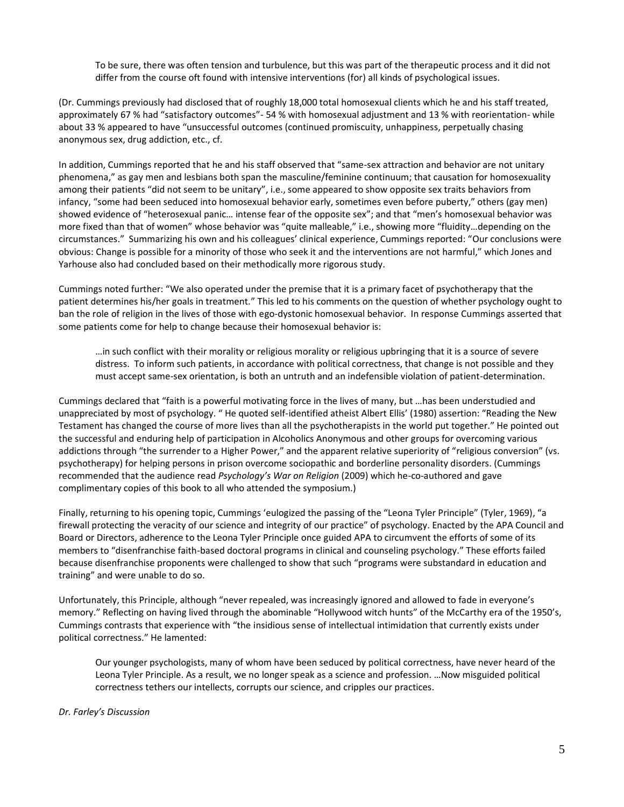To be sure, there was often tension and turbulence, but this was part of the therapeutic process and it did not differ from the course oft found with intensive interventions (for) all kinds of psychological issues.

(Dr. Cummings previously had disclosed that of roughly 18,000 total homosexual clients which he and his staff treated, approximately 67 % had "satisfactory outcomes"- 54 % with homosexual adjustment and 13 % with reorientation- while about 33 % appeared to have "unsuccessful outcomes (continued promiscuity, unhappiness, perpetually chasing anonymous sex, drug addiction, etc., cf.

In addition, Cummings reported that he and his staff observed that "same-sex attraction and behavior are not unitary phenomena," as gay men and lesbians both span the masculine/feminine continuum; that causation for homosexuality among their patients "did not seem to be unitary", i.e., some appeared to show opposite sex traits behaviors from infancy, "some had been seduced into homosexual behavior early, sometimes even before puberty," others (gay men) showed evidence of "heterosexual panic… intense fear of the opposite sex"; and that "men's homosexual behavior was more fixed than that of women" whose behavior was "quite malleable," i.e., showing more "fluidity…depending on the circumstances." Summarizing his own and his colleagues' clinical experience, Cummings reported: "Our conclusions were obvious: Change is possible for a minority of those who seek it and the interventions are not harmful," which Jones and Yarhouse also had concluded based on their methodically more rigorous study.

Cummings noted further: "We also operated under the premise that it is a primary facet of psychotherapy that the patient determines his/her goals in treatment." This led to his comments on the question of whether psychology ought to ban the role of religion in the lives of those with ego-dystonic homosexual behavior. In response Cummings asserted that some patients come for help to change because their homosexual behavior is:

…in such conflict with their morality or religious morality or religious upbringing that it is a source of severe distress. To inform such patients, in accordance with political correctness, that change is not possible and they must accept same-sex orientation, is both an untruth and an indefensible violation of patient-determination.

Cummings declared that "faith is a powerful motivating force in the lives of many, but …has been understudied and unappreciated by most of psychology. " He quoted self-identified atheist Albert Ellis' (1980) assertion: "Reading the New Testament has changed the course of more lives than all the psychotherapists in the world put together." He pointed out the successful and enduring help of participation in Alcoholics Anonymous and other groups for overcoming various addictions through "the surrender to a Higher Power," and the apparent relative superiority of "religious conversion" (vs. psychotherapy) for helping persons in prison overcome sociopathic and borderline personality disorders. (Cummings recommended that the audience read *Psychology's War on Religion* (2009) which he-co-authored and gave complimentary copies of this book to all who attended the symposium.)

Finally, returning to his opening topic, Cummings 'eulogized the passing of the "Leona Tyler Principle" (Tyler, 1969), "a firewall protecting the veracity of our science and integrity of our practice" of psychology. Enacted by the APA Council and Board or Directors, adherence to the Leona Tyler Principle once guided APA to circumvent the efforts of some of its members to "disenfranchise faith-based doctoral programs in clinical and counseling psychology." These efforts failed because disenfranchise proponents were challenged to show that such "programs were substandard in education and training" and were unable to do so.

Unfortunately, this Principle, although "never repealed, was increasingly ignored and allowed to fade in everyone's memory." Reflecting on having lived through the abominable "Hollywood witch hunts" of the McCarthy era of the 1950's, Cummings contrasts that experience with "the insidious sense of intellectual intimidation that currently exists under political correctness." He lamented:

Our younger psychologists, many of whom have been seduced by political correctness, have never heard of the Leona Tyler Principle. As a result, we no longer speak as a science and profession. …Now misguided political correctness tethers our intellects, corrupts our science, and cripples our practices.

## *Dr. Farley's Discussion*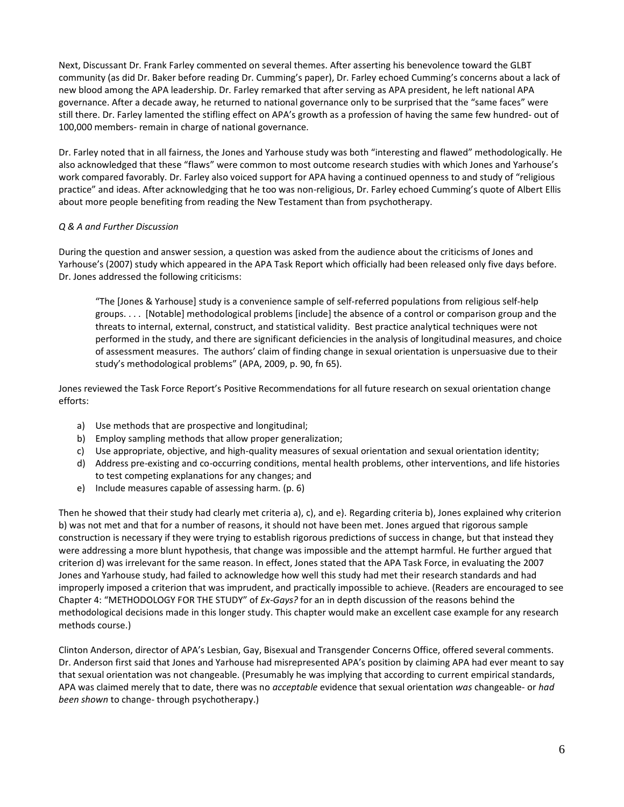Next, Discussant Dr. Frank Farley commented on several themes. After asserting his benevolence toward the GLBT community (as did Dr. Baker before reading Dr. Cumming's paper), Dr. Farley echoed Cumming's concerns about a lack of new blood among the APA leadership. Dr. Farley remarked that after serving as APA president, he left national APA governance. After a decade away, he returned to national governance only to be surprised that the "same faces" were still there. Dr. Farley lamented the stifling effect on APA's growth as a profession of having the same few hundred- out of 100,000 members- remain in charge of national governance.

Dr. Farley noted that in all fairness, the Jones and Yarhouse study was both "interesting and flawed" methodologically. He also acknowledged that these "flaws" were common to most outcome research studies with which Jones and Yarhouse's work compared favorably. Dr. Farley also voiced support for APA having a continued openness to and study of "religious practice" and ideas. After acknowledging that he too was non-religious, Dr. Farley echoed Cumming's quote of Albert Ellis about more people benefiting from reading the New Testament than from psychotherapy.

## *Q & A and Further Discussion*

During the question and answer session, a question was asked from the audience about the criticisms of Jones and Yarhouse's (2007) study which appeared in the APA Task Report which officially had been released only five days before. Dr. Jones addressed the following criticisms:

"The [Jones & Yarhouse] study is a convenience sample of self-referred populations from religious self-help groups. . . . [Notable] methodological problems [include] the absence of a control or comparison group and the threats to internal, external, construct, and statistical validity. Best practice analytical techniques were not performed in the study, and there are significant deficiencies in the analysis of longitudinal measures, and choice of assessment measures. The authors' claim of finding change in sexual orientation is unpersuasive due to their study's methodological problems" (APA, 2009, p. 90, fn 65).

Jones reviewed the Task Force Report's Positive Recommendations for all future research on sexual orientation change efforts:

- a) Use methods that are prospective and longitudinal;
- b) Employ sampling methods that allow proper generalization;
- c) Use appropriate, objective, and high-quality measures of sexual orientation and sexual orientation identity;
- d) Address pre-existing and co-occurring conditions, mental health problems, other interventions, and life histories to test competing explanations for any changes; and
- e) Include measures capable of assessing harm. (p. 6)

Then he showed that their study had clearly met criteria a), c), and e). Regarding criteria b), Jones explained why criterion b) was not met and that for a number of reasons, it should not have been met. Jones argued that rigorous sample construction is necessary if they were trying to establish rigorous predictions of success in change, but that instead they were addressing a more blunt hypothesis, that change was impossible and the attempt harmful. He further argued that criterion d) was irrelevant for the same reason. In effect, Jones stated that the APA Task Force, in evaluating the 2007 Jones and Yarhouse study, had failed to acknowledge how well this study had met their research standards and had improperly imposed a criterion that was imprudent, and practically impossible to achieve. (Readers are encouraged to see Chapter 4: "METHODOLOGY FOR THE STUDY" of *Ex-Gays?* for an in depth discussion of the reasons behind the methodological decisions made in this longer study. This chapter would make an excellent case example for any research methods course.)

Clinton Anderson, director of APA's Lesbian, Gay, Bisexual and Transgender Concerns Office, offered several comments. Dr. Anderson first said that Jones and Yarhouse had misrepresented APA's position by claiming APA had ever meant to say that sexual orientation was not changeable. (Presumably he was implying that according to current empirical standards, APA was claimed merely that to date, there was no *acceptable* evidence that sexual orientation *was* changeable- or *had been shown* to change- through psychotherapy.)